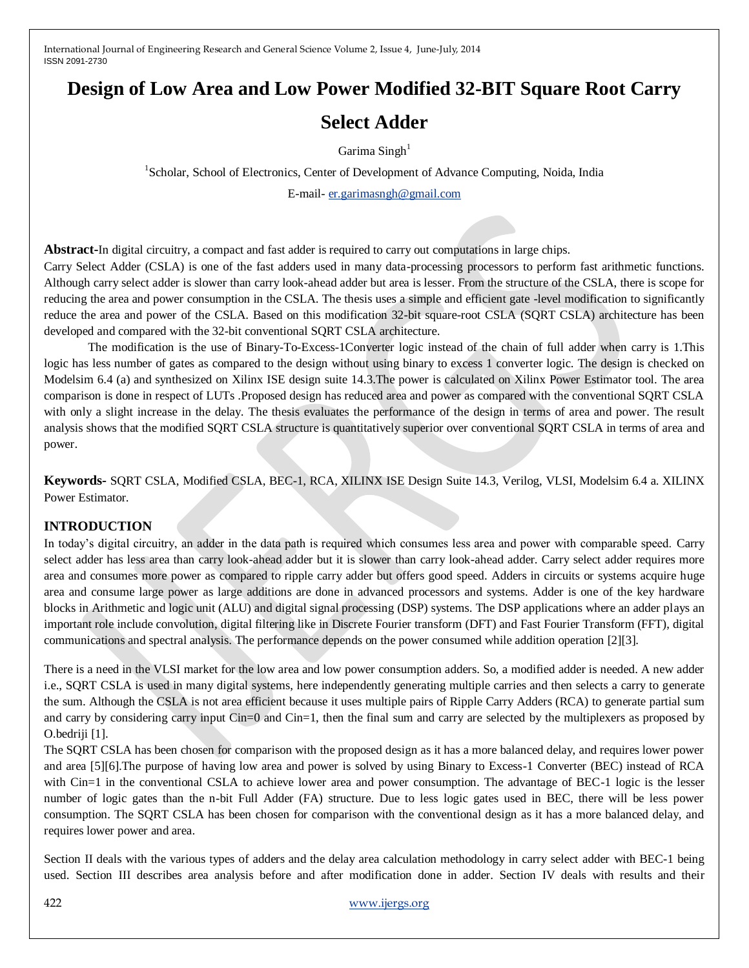## **Design of Low Area and Low Power Modified 32-BIT Square Root Carry**

# **Select Adder**

Garima Singh<sup>1</sup>

<sup>1</sup>Scholar, School of Electronics, Center of Development of Advance Computing, Noida, India

E-mail- [er.garimasngh@gmail.com](mailto:er.garimasngh@gmail.com)

**Abstract-**In digital circuitry, a compact and fast adder is required to carry out computations in large chips.

Carry Select Adder (CSLA) is one of the fast adders used in many data-processing processors to perform fast arithmetic functions. Although carry select adder is slower than carry look-ahead adder but area is lesser. From the structure of the CSLA, there is scope for reducing the area and power consumption in the CSLA. The thesis uses a simple and efficient gate -level modification to significantly reduce the area and power of the CSLA. Based on this modification 32-bit square-root CSLA (SQRT CSLA) architecture has been developed and compared with the 32-bit conventional SQRT CSLA architecture.

The modification is the use of Binary-To-Excess-1Converter logic instead of the chain of full adder when carry is 1.This logic has less number of gates as compared to the design without using binary to excess 1 converter logic. The design is checked on Modelsim 6.4 (a) and synthesized on Xilinx ISE design suite 14.3.The power is calculated on Xilinx Power Estimator tool. The area comparison is done in respect of LUTs .Proposed design has reduced area and power as compared with the conventional SQRT CSLA with only a slight increase in the delay. The thesis evaluates the performance of the design in terms of area and power. The result analysis shows that the modified SQRT CSLA structure is quantitatively superior over conventional SQRT CSLA in terms of area and power.

**Keywords-** SQRT CSLA, Modified CSLA, BEC-1, RCA, XILINX ISE Design Suite 14.3, Verilog, VLSI, Modelsim 6.4 a. XILINX Power Estimator.

## **INTRODUCTION**

In today's digital circuitry, an adder in the data path is required which consumes less area and power with comparable speed. Carry select adder has less area than carry look-ahead adder but it is slower than carry look-ahead adder. Carry select adder requires more area and consumes more power as compared to ripple carry adder but offers good speed. Adders in circuits or systems acquire huge area and consume large power as large additions are done in advanced processors and systems. Adder is one of the key hardware blocks in Arithmetic and logic unit (ALU) and digital signal processing (DSP) systems. The DSP applications where an adder plays an important role include convolution, digital filtering like in Discrete Fourier transform (DFT) and Fast Fourier Transform (FFT), digital communications and spectral analysis. The performance depends on the power consumed while addition operation [2][3].

There is a need in the VLSI market for the low area and low power consumption adders. So, a modified adder is needed. A new adder i.e., SQRT CSLA is used in many digital systems, here independently generating multiple carries and then selects a carry to generate the sum. Although the CSLA is not area efficient because it uses multiple pairs of Ripple Carry Adders (RCA) to generate partial sum and carry by considering carry input Cin=0 and Cin=1, then the final sum and carry are selected by the multiplexers as proposed by O.bedriji [1].

The SQRT CSLA has been chosen for comparison with the proposed design as it has a more balanced delay, and requires lower power and area [5][6].The purpose of having low area and power is solved by using Binary to Excess-1 Converter (BEC) instead of RCA with Cin=1 in the conventional CSLA to achieve lower area and power consumption. The advantage of BEC-1 logic is the lesser number of logic gates than the n-bit Full Adder (FA) structure. Due to less logic gates used in BEC, there will be less power consumption. The SQRT CSLA has been chosen for comparison with the conventional design as it has a more balanced delay, and requires lower power and area.

Section II deals with the various types of adders and the delay area calculation methodology in carry select adder with BEC-1 being used. Section III describes area analysis before and after modification done in adder. Section IV deals with results and their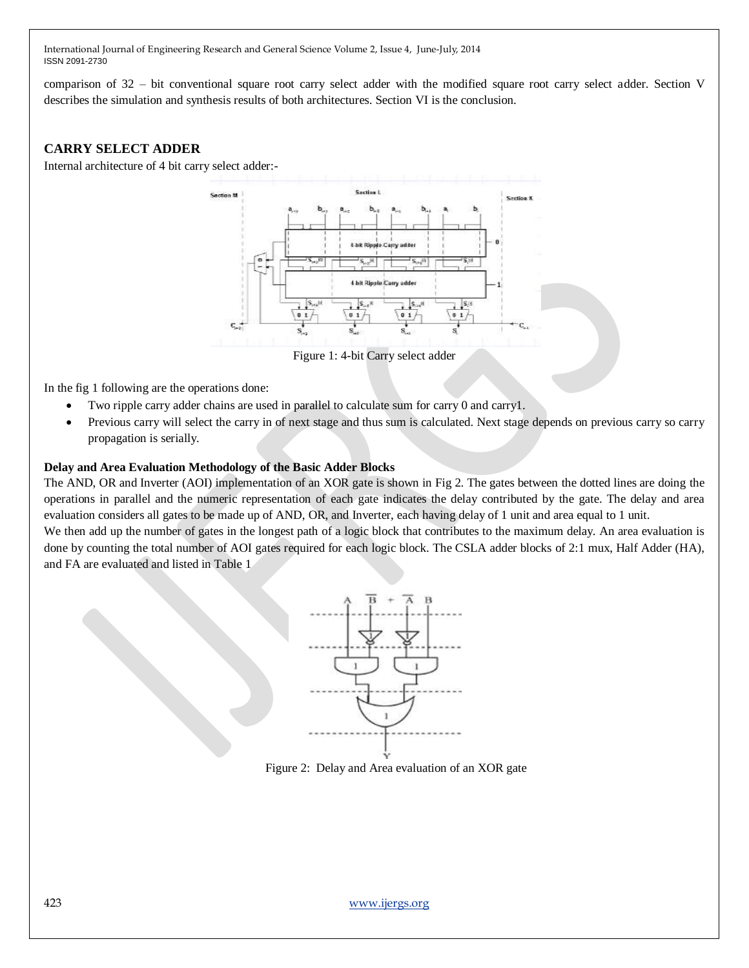comparison of 32 – bit conventional square root carry select adder with the modified square root carry select adder. Section V describes the simulation and synthesis results of both architectures. Section VI is the conclusion.

## **CARRY SELECT ADDER**

Internal architecture of 4 bit carry select adder:-



Figure 1: 4-bit Carry select adder

In the fig 1 following are the operations done:

- Two ripple carry adder chains are used in parallel to calculate sum for carry 0 and carry1.
- Previous carry will select the carry in of next stage and thus sum is calculated. Next stage depends on previous carry so carry propagation is serially.

### **Delay and Area Evaluation Methodology of the Basic Adder Blocks**

The AND, OR and Inverter (AOI) implementation of an XOR gate is shown in Fig 2. The gates between the dotted lines are doing the operations in parallel and the numeric representation of each gate indicates the delay contributed by the gate. The delay and area evaluation considers all gates to be made up of AND, OR, and Inverter, each having delay of 1 unit and area equal to 1 unit.

We then add up the number of gates in the longest path of a logic block that contributes to the maximum delay. An area evaluation is done by counting the total number of AOI gates required for each logic block. The CSLA adder blocks of 2:1 mux, Half Adder (HA), and FA are evaluated and listed in Table 1



Figure 2: Delay and Area evaluation of an XOR gate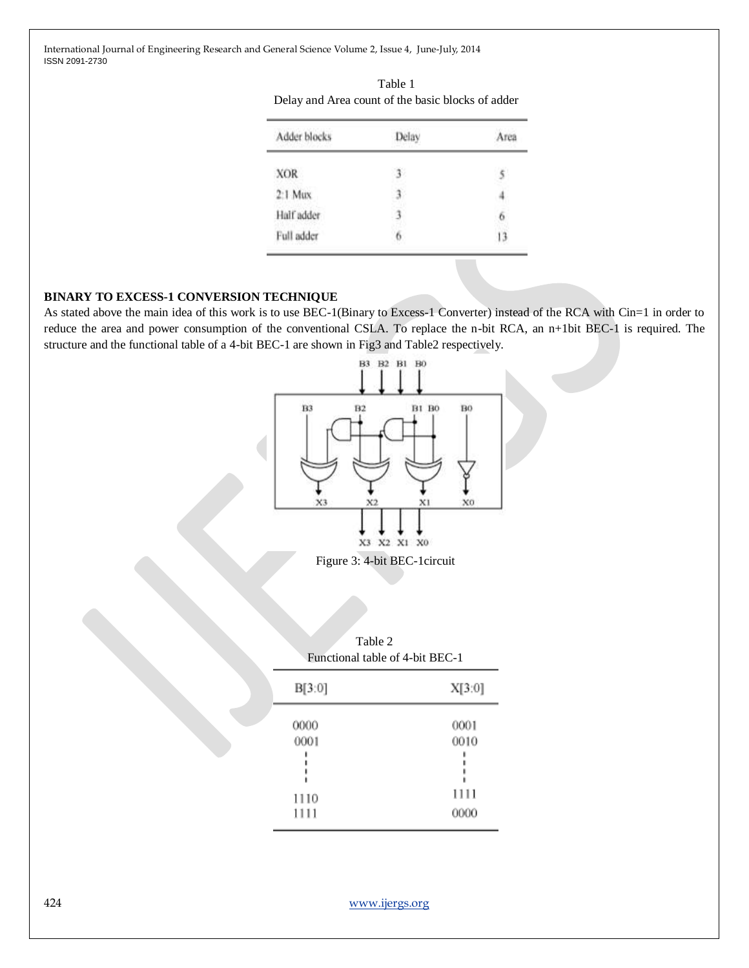| Adder blocks | Delay | Area |
|--------------|-------|------|
| <b>XOR</b>   |       |      |
| $2:1$ Mux    |       |      |
| Half adder   |       |      |
| Full adder   |       |      |

#### Table 1 Delay and Area count of the basic blocks of adder

## **BINARY TO EXCESS-1 CONVERSION TECHNIQUE**

As stated above the main idea of this work is to use BEC-1(Binary to Excess-1 Converter) instead of the RCA with Cin=1 in order to reduce the area and power consumption of the conventional CSLA. To replace the n-bit RCA, an n+1bit BEC-1 is required. The structure and the functional table of a 4-bit BEC-1 are shown in Fig3 and Table2 respectively.



Figure 3: 4-bit BEC-1circuit

| Table 2<br>Functional table of 4-bit BEC-1 |                              |  |
|--------------------------------------------|------------------------------|--|
| B[3:0]                                     | X[3:0]                       |  |
| 0000<br>0001<br>1110<br>1111               | 0001<br>0010<br>1111<br>0000 |  |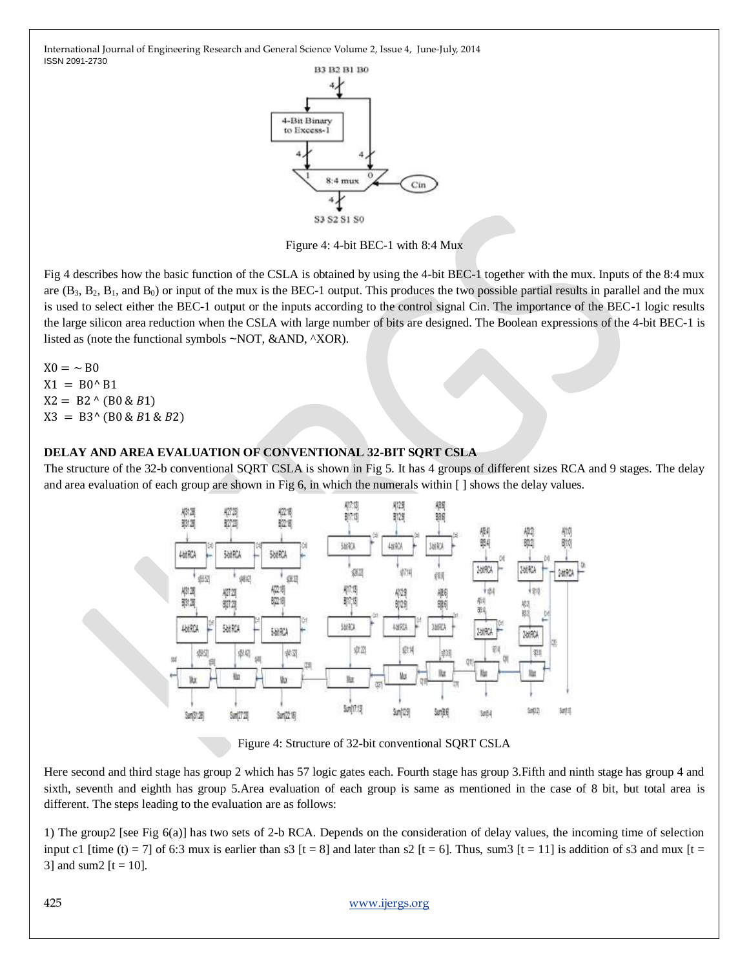

Figure 4: 4-bit BEC-1 with 8:4 Mux

Fig 4 describes how the basic function of the CSLA is obtained by using the 4-bit BEC-1 together with the mux. Inputs of the 8:4 mux are  $(B_3, B_2, B_1,$  and  $B_0$ ) or input of the mux is the BEC-1 output. This produces the two possible partial results in parallel and the mux is used to select either the BEC-1 output or the inputs according to the control signal Cin. The importance of the BEC-1 logic results the large silicon area reduction when the CSLA with large number of bits are designed. The Boolean expressions of the 4-bit BEC-1 is listed as (note the functional symbols ~NOT, &AND, ^XOR).

 $X0 = \sim B0$  $X1 = B0^{\wedge} B1$  $X2 = B2 \land (B0 \& B1)$  $X3 = B3^{\wedge} (B0 \& B1 \& B2)$ 

### **DELAY AND AREA EVALUATION OF CONVENTIONAL 32-BIT SQRT CSLA**

The structure of the 32-b conventional SQRT CSLA is shown in Fig 5. It has 4 groups of different sizes RCA and 9 stages. The delay and area evaluation of each group are shown in Fig 6, in which the numerals within [ ] shows the delay values.



Figure 4: Structure of 32-bit conventional SQRT CSLA

Here second and third stage has group 2 which has 57 logic gates each. Fourth stage has group 3.Fifth and ninth stage has group 4 and sixth, seventh and eighth has group 5.Area evaluation of each group is same as mentioned in the case of 8 bit, but total area is different. The steps leading to the evaluation are as follows:

1) The group2 [see Fig 6(a)] has two sets of 2-b RCA. Depends on the consideration of delay values, the incoming time of selection input c1 [time (t) = 7] of 6:3 mux is earlier than s3 [t = 8] and later than s2 [t = 6]. Thus, sum3 [t = 11] is addition of s3 and mux [t = 3] and sum2  $[t = 10]$ .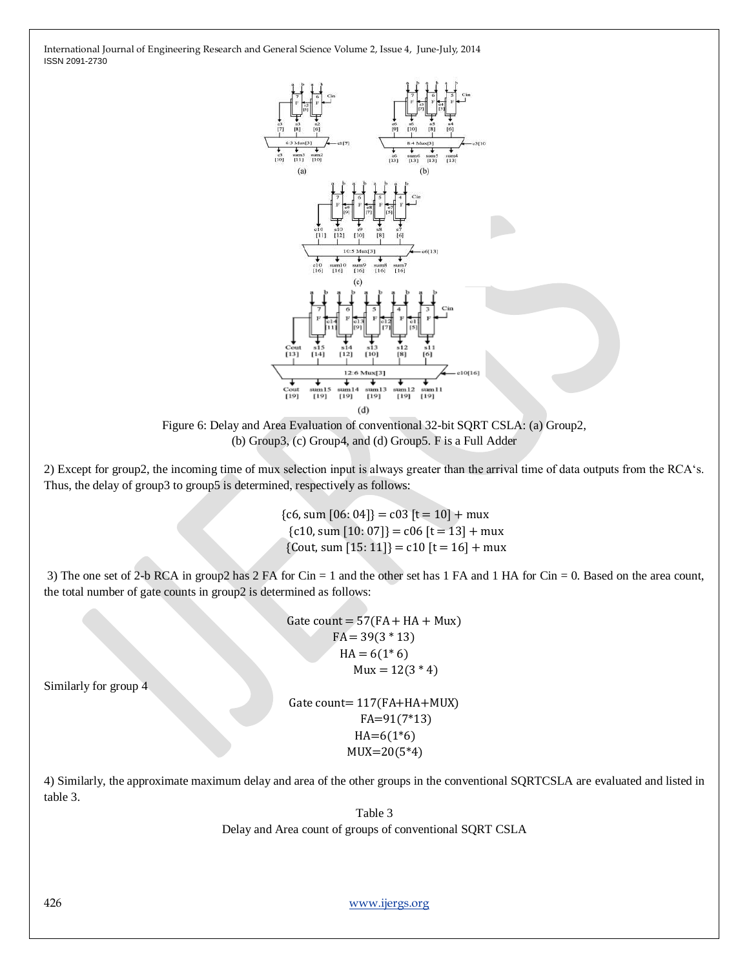



2) Except for group2, the incoming time of mux selection input is always greater than the arrival time of data outputs from the RCA‗s. Thus, the delay of group3 to group5 is determined, respectively as follows:

> ${c6, sum [06: 04]} = c03[t = 10] + mux$  ${c10, sum [10: 07]} = c06[t = 13] + \text{mux}$  ${Cout, sum [15: 11]} = c10 [t = 16] + \text{mux}$

3) The one set of 2-b RCA in group2 has 2 FA for Cin = 1 and the other set has 1 FA and 1 HA for Cin = 0. Based on the area count, the total number of gate counts in group2 is determined as follows:

> Gate count =  $57$ (FA + HA + Mux)  $FA = 39(3 * 13)$  $HA = 6(1*6)$  $Mux = 12(3 * 4)$

Similarly for group 4

Gate count= 117(FA+HA+MUX) FA=91(7\*13)  $HA=6(1*6)$ MUX=20(5\*4)

4) Similarly, the approximate maximum delay and area of the other groups in the conventional SQRTCSLA are evaluated and listed in table 3.

Table 3

Delay and Area count of groups of conventional SQRT CSLA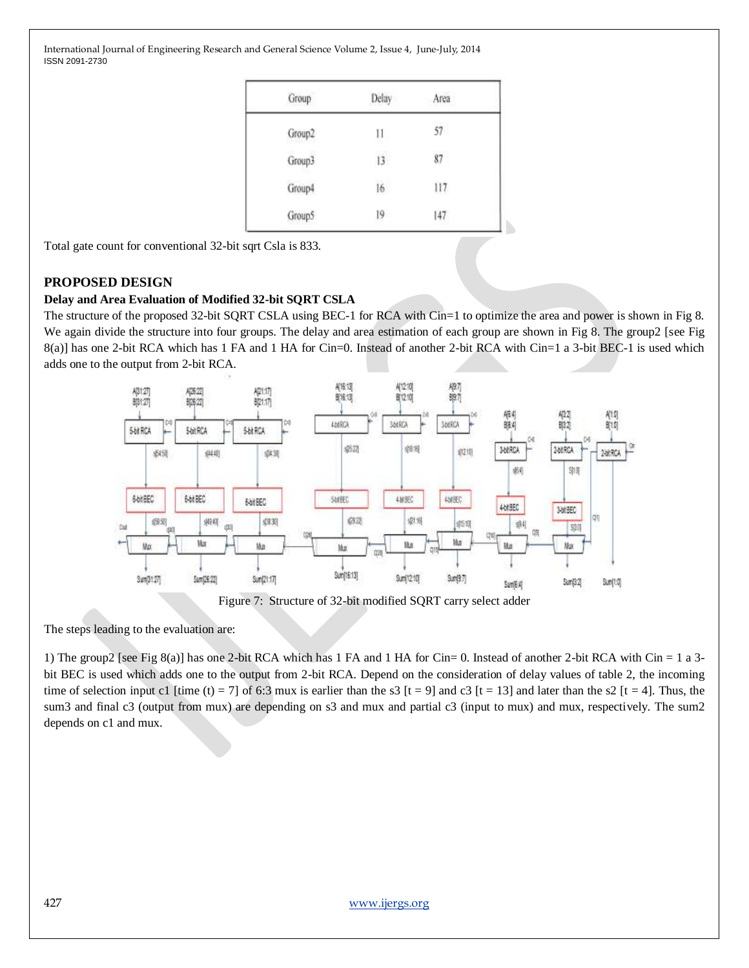| Group  | Delay         | Area |
|--------|---------------|------|
| Group2 | $\frac{1}{2}$ | 57   |
| Group3 | 13            | 87   |
| Group4 | 16            | 117  |
| Group5 | 19            | 147  |

N

Total gate count for conventional 32-bit sqrt Csla is 833.

## **PROPOSED DESIGN**

## **Delay and Area Evaluation of Modified 32-bit SQRT CSLA**

The structure of the proposed 32-bit SQRT CSLA using BEC-1 for RCA with Cin=1 to optimize the area and power is shown in Fig 8. We again divide the structure into four groups. The delay and area estimation of each group are shown in Fig 8. The group2 [see Fig 8(a)] has one 2-bit RCA which has 1 FA and 1 HA for Cin=0. Instead of another 2-bit RCA with Cin=1 a 3-bit BEC-1 is used which adds one to the output from 2-bit RCA.



The steps leading to the evaluation are:

1) The group2 [see Fig 8(a)] has one 2-bit RCA which has 1 FA and 1 HA for Cin= 0. Instead of another 2-bit RCA with Cin = 1 a 3 bit BEC is used which adds one to the output from 2-bit RCA. Depend on the consideration of delay values of table 2, the incoming time of selection input c1 [time (t) = 7] of 6:3 mux is earlier than the s3 [t = 9] and c3 [t = 13] and later than the s2 [t = 4]. Thus, the sum3 and final c3 (output from mux) are depending on s3 and mux and partial c3 (input to mux) and mux, respectively. The sum2 depends on c1 and mux.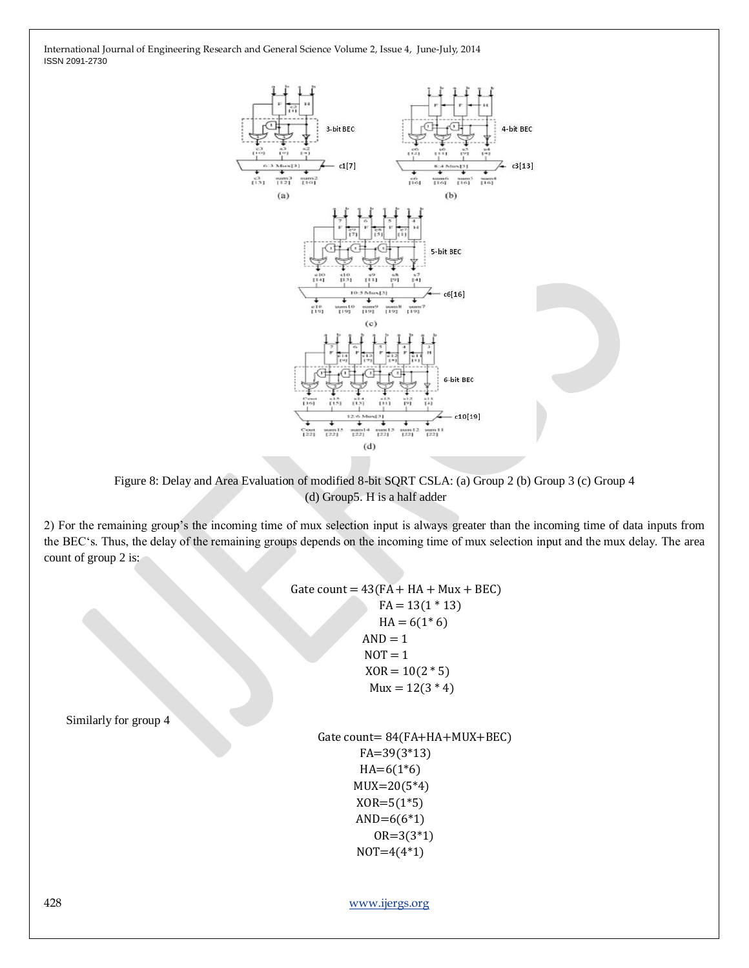

Figure 8: Delay and Area Evaluation of modified 8-bit SQRT CSLA: (a) Group 2 (b) Group 3 (c) Group 4 (d) Group5. H is a half adder

2) For the remaining group's the incoming time of mux selection input is always greater than the incoming time of data inputs from the BEC‗s. Thus, the delay of the remaining groups depends on the incoming time of mux selection input and the mux delay. The area count of group 2 is:

> Gate count =  $43(FA + HA + Mux + BEC)$  $FA = 13(1 * 13)$  $HA = 6(1*6)$  $AND = 1$  $NOT = 1$  $XOR = 10(2 * 5)$  $Mux = 12(3 * 4)$ Gate count= 84(FA+HA+MUX+BEC)

```
 FA=39(3*13)
HA=6(1*6)MUX = 20(5*4)XOR = 5(1*5)AND=6(6*1) OR=3(3*1)
NOT=4(4*1)
```
428 [www.ijergs.org](http://www.ijergs.org/)

Similarly for group 4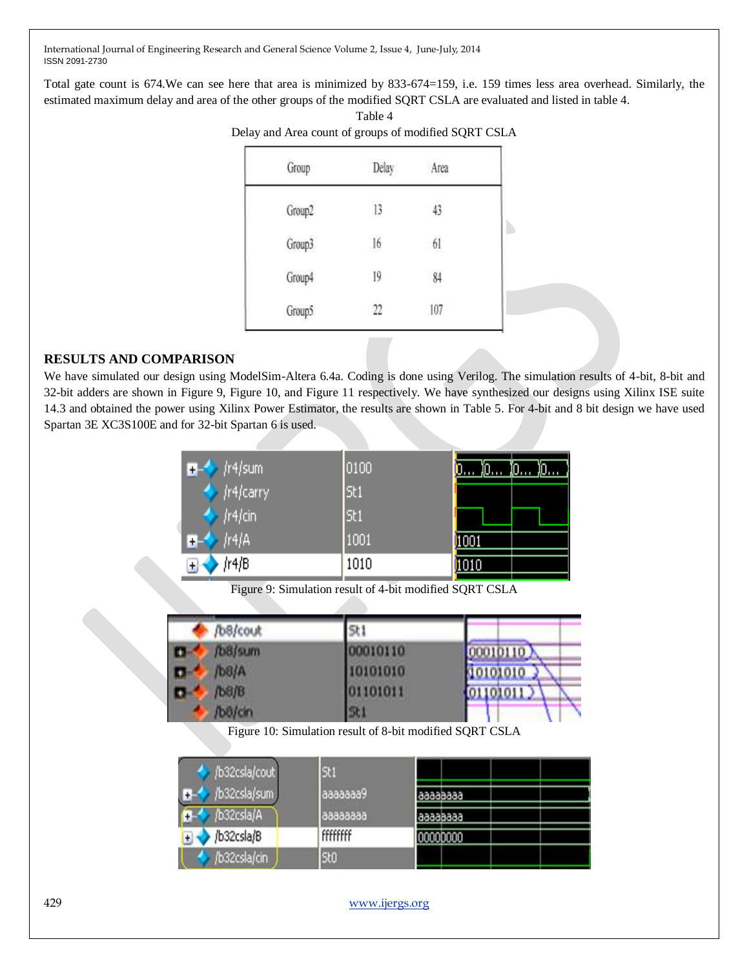Total gate count is 674.We can see here that area is minimized by 833-674=159, i.e. 159 times less area overhead. Similarly, the estimated maximum delay and area of the other groups of the modified SQRT CSLA are evaluated and listed in table 4. Table 4

| Group  | Delay | Area |
|--------|-------|------|
| Group2 | 13    | 43   |
| Group3 | 16    | 61   |
| Group4 | 19    | 84   |
| Group5 | 22    | 107  |

## **RESULTS AND COMPARISON**

We have simulated our design using ModelSim-Altera 6.4a. Coding is done using Verilog. The simulation results of 4-bit, 8-bit and 32-bit adders are shown in Figure 9, Figure 10, and Figure 11 respectively. We have synthesized our designs using Xilinx ISE suite 14.3 and obtained the power using Xilinx Power Estimator, the results are shown in Table 5. For 4-bit and 8 bit design we have used Spartan 3E XC3S100E and for 32-bit Spartan 6 is used.

| $\rightarrow$ /r4/sum     | 0100 | )ິΩ…<br>Jo Jo<br><b>ding</b> |
|---------------------------|------|------------------------------|
| ♦ <i>(r4/carry</i> )      | St1  |                              |
| $\leftrightarrow$ /r4/cin | St1  |                              |
| $\frac{1}{4}$ /r4/A<br>Œ4 | 1001 | 1001                         |
| /r4/B                     | 1010 | 1010                         |

Figure 9: Simulation result of 4-bit modified SQRT CSLA

| /b8/cout    | 5t1     |          |
|-------------|---------|----------|
| /b8/sum     | 0010110 | 00010110 |
| b8/A        | 0101010 | 40101010 |
| <b>b8/B</b> | 1101011 | 101011   |
| bB/cin      | 56      |          |

Figure 10: Simulation result of 8-bit modified SQRT CSLA

| /b32csla/cout | St1             |          |  |
|---------------|-----------------|----------|--|
| b32csla/sum   | Завбеве         | 66666666 |  |
| b32csla/A     | 66666666        | 66666666 |  |
| /b32csla/B    | <b>FFFFFFFF</b> | 0000000  |  |
| b32csla/cin   | St0             |          |  |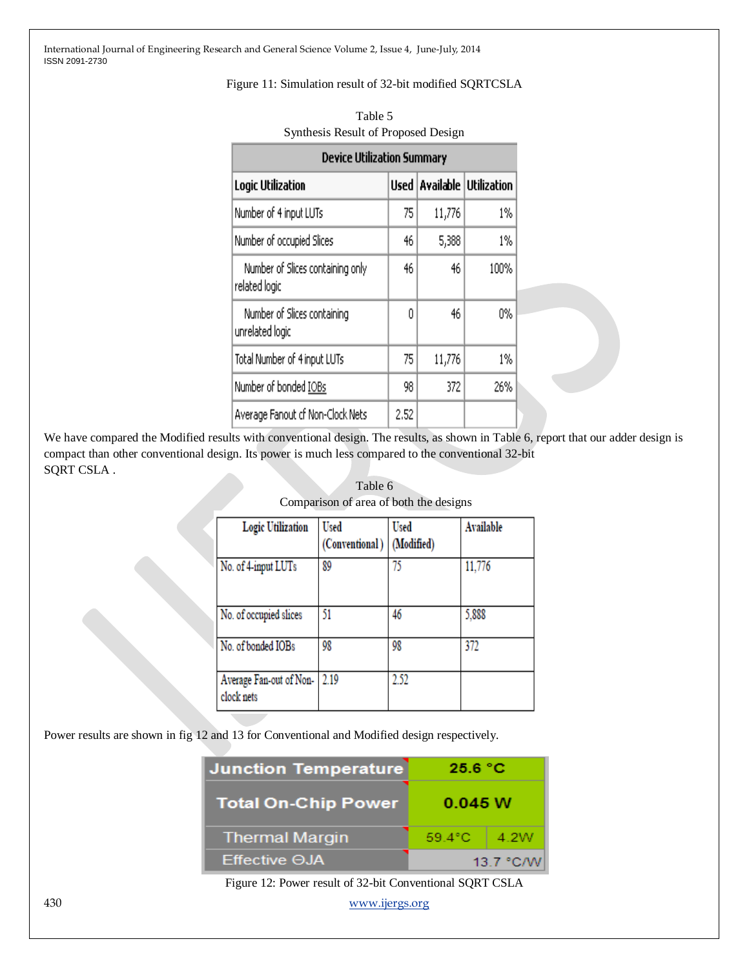#### Figure 11: Simulation result of 32-bit modified SQRTCSLA

| <b>Device Utilization Summary</b>                 |      |        |                              |
|---------------------------------------------------|------|--------|------------------------------|
| Logic Utilization                                 | Used |        | <b>Available Utilization</b> |
| Number of 4 input LUTs                            | 75   | 11,776 | 1%                           |
| Number of occupied Slices                         | 46   | 5,388  | $1\%$                        |
| Number of Slices containing only<br>related logic | 46   | 46     | 100%                         |
| Number of Slices containing<br>unrelated logic    | Ω    | 46     | 0%                           |
| Total Number of 4 input LUTs                      | 75   | 11,776 | 1%                           |
| Number of bonded IOBs                             | 98   | 372    | 26%                          |
| Average Fanout of Non-Clock Nets                  | 2.52 |        |                              |

| Table 5                             |
|-------------------------------------|
| Synthesis Result of Proposed Design |

We have compared the Modified results with conventional design. The results, as shown in Table 6, report that our adder design is compact than other conventional design. Its power is much less compared to the conventional 32-bit SQRT CSLA .

| <b>Logic Utilization</b>              | Used<br>(Conventional) | Used<br>(Modified) | <b>Available</b> |
|---------------------------------------|------------------------|--------------------|------------------|
| No. of 4-input LUTs                   | 89                     | 75                 | 11,776           |
| No. of occupied slices                | 51                     | 46                 | 5,888            |
| No. of bonded IOBs                    | 98                     | 98                 | 372              |
| Average Fan-out of Non-<br>clock nets | 2.19                   | 2.52               |                  |

Table 6 Comparison of area of both the designs

Power results are shown in fig 12 and 13 for Conventional and Modified design respectively.

| <b>Junction Temperature</b><br>25.6 °C |                 |  |
|----------------------------------------|-----------------|--|
| <b>Total On-Chip Power</b>             | 0.045 W         |  |
| <b>Thermal Margin</b>                  | 59.4°C.<br>4.2W |  |
| $E$ ffective $\Theta$ JA               | 13.7 °C/W       |  |

Figure 12: Power result of 32-bit Conventional SQRT CSLA